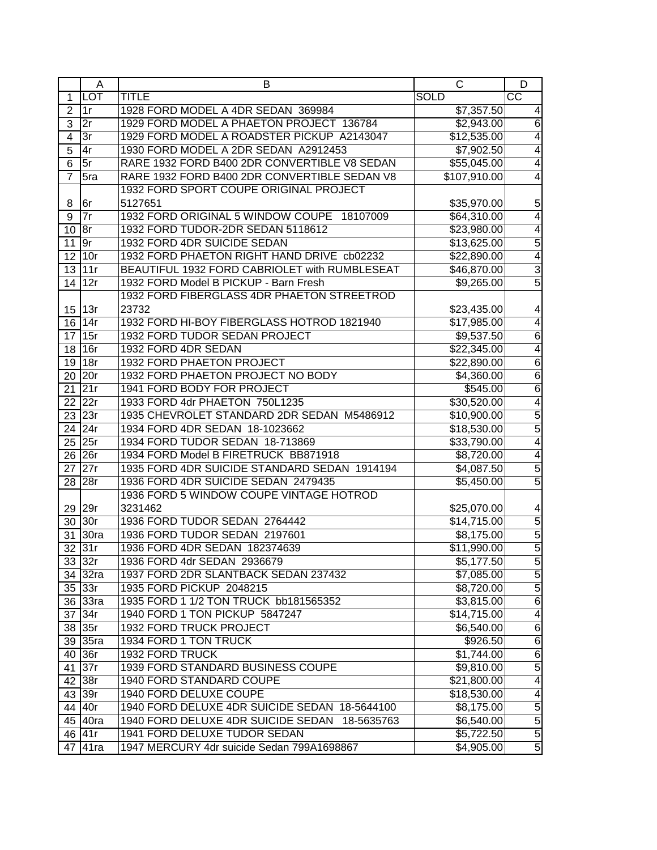|                | Α          | B                                             | C                      | D                        |
|----------------|------------|-----------------------------------------------|------------------------|--------------------------|
| $\mathbf 1$    | <b>LOT</b> | <b>TITLE</b>                                  | <b>SOLD</b>            | $\overline{\text{cc}}$   |
| $\overline{2}$ | 1r         | 1928 FORD MODEL A 4DR SEDAN 369984            | \$7,357.50             |                          |
| $\overline{3}$ | 2r         | 1929 FORD MODEL A PHAETON PROJECT 136784      | \$2,943.00             | 6                        |
| $\overline{4}$ | 3r         | 1929 FORD MODEL A ROADSTER PICKUP A2143047    | \$12,535.00            | 4                        |
| $\overline{5}$ | 4r         | 1930 FORD MODEL A 2DR SEDAN A2912453          | \$7,902.50             | 4                        |
| $\overline{6}$ | 5r         | RARE 1932 FORD B400 2DR CONVERTIBLE V8 SEDAN  | \$55,045.00            | 4                        |
| $\overline{7}$ | 5ra        | RARE 1932 FORD B400 2DR CONVERTIBLE SEDAN V8  | \$107,910.00           | 4                        |
|                |            | 1932 FORD SPORT COUPE ORIGINAL PROJECT        |                        |                          |
| 8              | 6r         | 5127651                                       | \$35,970.00            | 5                        |
| 9              | 7r         | 1932 FORD ORIGINAL 5 WINDOW COUPE 18107009    | \$64,310.00            | $\overline{4}$           |
| $10$ $8r$      |            | 1932 FORD TUDOR-2DR SEDAN 5118612             | \$23,980.00            | $\overline{4}$           |
| $11$ 9r        |            | 1932 FORD 4DR SUICIDE SEDAN                   | \$13,625.00            | $\overline{5}$           |
|                | 12 10r     | 1932 FORD PHAETON RIGHT HAND DRIVE cb02232    | \$22,890.00            | $\overline{4}$           |
|                | $13$ 11r   | BEAUTIFUL 1932 FORD CABRIOLET with RUMBLESEAT | \$46,870.00            | ပာ ယ                     |
|                | 14 12r     | 1932 FORD Model B PICKUP - Barn Fresh         | \$9,265.00             |                          |
|                |            | 1932 FORD FIBERGLASS 4DR PHAETON STREETROD    |                        |                          |
|                | 15 13r     | 23732                                         | \$23,435.00            | 4                        |
| 16             | 14r        | 1932 FORD HI-BOY FIBERGLASS HOTROD 1821940    | \$17,985.00            | 4                        |
|                | 17 15r     | 1932 FORD TUDOR SEDAN PROJECT                 | \$9,537.50             | $\overline{6}$           |
|                | 18 16r     | 1932 FORD 4DR SEDAN                           | \$22,345.00            | $\overline{4}$           |
|                | 19 18r     | 1932 FORD PHAETON PROJECT                     | \$22,890.00            | $\overline{6}$           |
|                | 20 20r     | 1932 FORD PHAETON PROJECT NO BODY             | $\overline{$4,360.00}$ | $\overline{6}$           |
|                | $21$ 21r   | 1941 FORD BODY FOR PROJECT                    | \$545.00               | $\overline{6}$           |
|                | 22 22r     | 1933 FORD 4dr PHAETON 750L1235                | \$30,520.00            | 4                        |
|                | $23$ 23r   | 1935 CHEVROLET STANDARD 2DR SEDAN M5486912    | \$10,900.00            | 5                        |
|                | $24$ 24r   | 1934 FORD 4DR SEDAN 18-1023662                | \$18,530.00            | 5                        |
|                | $25$ 25r   | 1934 FORD TUDOR SEDAN 18-713869               | \$33,790.00            | 4                        |
|                | $26$ 26r   | 1934 FORD Model B FIRETRUCK BB871918          | \$8,720.00             | $\overline{\mathcal{A}}$ |
|                | $27$ 27r   | 1935 FORD 4DR SUICIDE STANDARD SEDAN 1914194  | \$4,087.50             | 5                        |
| 28             | 28r        | 1936 FORD 4DR SUICIDE SEDAN 2479435           | \$5,450.00             | $\overline{5}$           |
|                |            | 1936 FORD 5 WINDOW COUPE VINTAGE HOTROD       |                        |                          |
|                | 29 29r     | 3231462                                       | \$25,070.00            | 4                        |
|                | 30 30r     | 1936 FORD TUDOR SEDAN 2764442                 | \$14,715.00            |                          |
|                | 31 30ra    | 1936 FORD TUDOR SEDAN 2197601                 | \$8,175.00             |                          |
|                | $32$ 31r   | 1936 FORD 4DR SEDAN 182374639                 | \$11,990.00            |                          |
|                | 33 32r     | 1936 FORD 4dr SEDAN 2936679                   | \$5,177.50             | 5   6   6   6            |
|                | 34 32ra    | 1937 FORD 2DR SLANTBACK SEDAN 237432          | \$7,085.00             | $\overline{5}$           |
|                | $35$ 33r   | 1935 FORD PICKUP 2048215                      | \$8,720.00             | 5                        |
|                | 36 33ra    | 1935 FORD 1 1/2 TON TRUCK bb181565352         | \$3,815.00             | $\overline{6}$           |
|                | 37 34r     | 1940 FORD 1 TON PICKUP 5847247                | \$14,715.00            | 4                        |
|                | 38 35r     | <b>1932 FORD TRUCK PROJECT</b>                | \$6,540.00             | $\overline{6}$           |
|                | 39 35ra    | 1934 FORD 1 TON TRUCK                         | \$926.50               | $\overline{6}$           |
|                | 40 36r     | 1932 FORD TRUCK                               | \$1,744.00             | $\overline{6}$           |
|                | 41 37r     | 1939 FORD STANDARD BUSINESS COUPE             | \$9,810.00             | $\overline{5}$           |
|                | 42 38r     | 1940 FORD STANDARD COUPE                      | \$21,800.00            | 4                        |
|                | 43 39r     | 1940 FORD DELUXE COUPE                        | \$18,530.00            | 4                        |
|                | 44 40r     | 1940 FORD DELUXE 4DR SUICIDE SEDAN 18-5644100 | \$8,175.00             | $\overline{5}$           |
|                | 45 40ra    | 1940 FORD DELUXE 4DR SUICIDE SEDAN 18-5635763 | \$6,540.00             | $\overline{5}$           |
|                | 46 41r     | 1941 FORD DELUXE TUDOR SEDAN                  | \$5,722.50             | $\overline{5}$           |
|                | 47 41ra    | 1947 MERCURY 4dr suicide Sedan 799A1698867    | \$4,905.00             | $\overline{5}$           |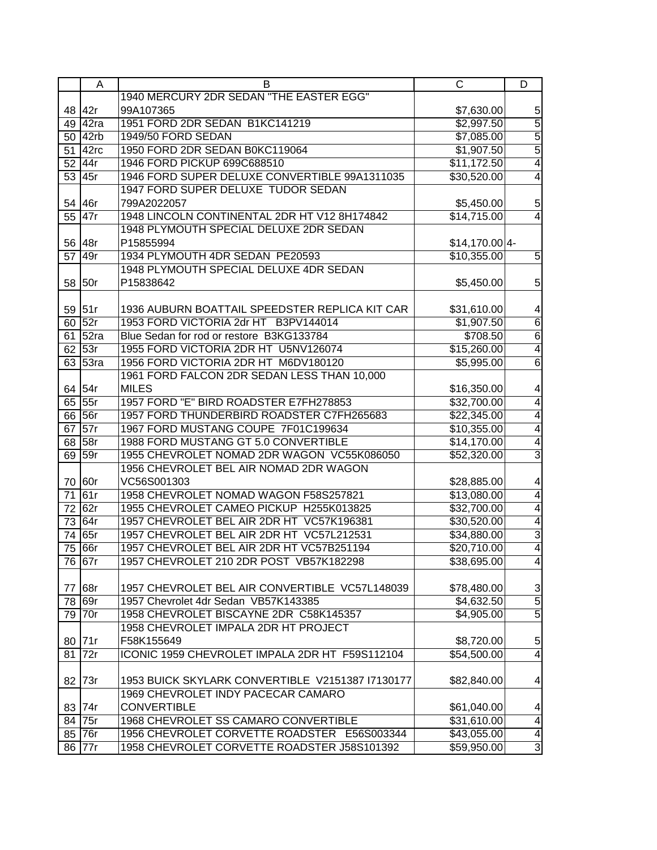|                 | A         | B                                                | $\mathsf{C}$            | D                       |
|-----------------|-----------|--------------------------------------------------|-------------------------|-------------------------|
|                 |           | 1940 MERCURY 2DR SEDAN "THE EASTER EGG"          |                         |                         |
| 48              | 42r       | 99A107365                                        | \$7,630.00              | 5                       |
|                 | 49 42ra   | 1951 FORD 2DR SEDAN B1KC141219                   | \$2,997.50              | $\overline{5}$          |
|                 | $50$ 42rb | 1949/50 FORD SEDAN                               | \$7,085.00              | $\overline{5}$          |
|                 | 51 42rc   | 1950 FORD 2DR SEDAN B0KC119064                   | \$1,907.50              | $\overline{5}$          |
| 52              | 44r       | 1946 FORD PICKUP 699C688510                      | \$11,172.50             | $\overline{4}$          |
| 53              | 45r       | 1946 FORD SUPER DELUXE CONVERTIBLE 99A1311035    | \$30,520.00             | 4                       |
|                 |           | 1947 FORD SUPER DELUXE TUDOR SEDAN               |                         |                         |
| 54              | 46r       | 799A2022057                                      | \$5,450.00              | 5                       |
| 55              | 47r       | 1948 LINCOLN CONTINENTAL 2DR HT V12 8H174842     | \$14,715.00             | $\overline{4}$          |
|                 |           | 1948 PLYMOUTH SPECIAL DELUXE 2DR SEDAN           |                         |                         |
|                 | 56 48r    | P15855994                                        | $$14,170.00 4-$         |                         |
| 57              | 49r       | 1934 PLYMOUTH 4DR SEDAN PE20593                  | \$10,355.00             | 5                       |
|                 |           | 1948 PLYMOUTH SPECIAL DELUXE 4DR SEDAN           |                         |                         |
|                 | 58 50r    | P15838642                                        | \$5,450.00              | 5                       |
|                 |           |                                                  |                         |                         |
|                 | 59 51r    | 1936 AUBURN BOATTAIL SPEEDSTER REPLICA KIT CAR   | \$31,610.00             | 4                       |
|                 | 60 52r    | 1953 FORD VICTORIA 2dr HT B3PV144014             | \$1,907.50              | $\overline{6}$          |
|                 | 61 52ra   | Blue Sedan for rod or restore B3KG133784         | \$708.50                | $\overline{6}$          |
|                 | 62 53r    | 1955 FORD VICTORIA 2DR HT U5NV126074             | \$15,260.00             | $\overline{4}$          |
|                 | 63 53ra   | 1956 FORD VICTORIA 2DR HT M6DV180120             | \$5,995.00              | $\overline{6}$          |
|                 |           | 1961 FORD FALCON 2DR SEDAN LESS THAN 10,000      |                         |                         |
|                 | 64 54r    | <b>MILES</b>                                     |                         |                         |
|                 | $65$ 55r  | 1957 FORD "E" BIRD ROADSTER E7FH278853           | \$16,350.00             | 4<br>$\overline{4}$     |
|                 |           | 1957 FORD THUNDERBIRD ROADSTER C7FH265683        | \$32,700.00             |                         |
|                 | 66 56r    |                                                  | \$22,345.00             | 4                       |
|                 | $67$ 57r  | 1967 FORD MUSTANG COUPE 7F01C199634              | \$10,355.00             | 4                       |
|                 | $68$ 58r  | 1988 FORD MUSTANG GT 5.0 CONVERTIBLE             | \$14,170.00             | $\overline{4}$          |
|                 | 69 59r    | 1955 CHEVROLET NOMAD 2DR WAGON VC55K086050       | \$52,320.00             | 3                       |
|                 |           | 1956 CHEVROLET BEL AIR NOMAD 2DR WAGON           |                         |                         |
|                 | 70 60r    | VC56S001303                                      | \$28,885.00             | 4                       |
| $\overline{71}$ | 61r       | 1958 CHEVROLET NOMAD WAGON F58S257821            | \$13,080.00             | 4                       |
|                 | 72 62r    | 1955 CHEVROLET CAMEO PICKUP H255K013825          | \$32,700.00             | 4                       |
|                 | $73$ 64r  | 1957 CHEVROLET BEL AIR 2DR HT VC57K196381        | \$30,520.00             | 4                       |
|                 | 74 65r    | 1957 CHEVROLET BEL AIR 2DR HT VC57L212531        | \$34,880.00             | $\overline{3}$          |
| 75              | 66r       | 1957 CHEVROLET BEL AIR 2DR HT VC57B251194        | \$20,710.00             | $\overline{4}$          |
|                 | 76 67r    | 1957 CHEVROLET 210 2DR POST VB57K182298          | $\overline{$38,695.00}$ | 4                       |
|                 |           |                                                  |                         |                         |
| 77              | 68r       | 1957 CHEVROLET BEL AIR CONVERTIBLE VC57L148039   | \$78,480.00             | 3                       |
| 78              | 69r       | 1957 Chevrolet 4dr Sedan VB57K143385             | \$4,632.50              | $\overline{5}$          |
| 79              | 70r       | 1958 CHEVROLET BISCAYNE 2DR C58K145357           | \$4,905.00              | $\overline{5}$          |
|                 |           | 1958 CHEVROLET IMPALA 2DR HT PROJECT             |                         |                         |
|                 | 80 71r    | F58K155649                                       | \$8,720.00              | 5                       |
| 81              | 72r       | ICONIC 1959 CHEVROLET IMPALA 2DR HT F59S112104   | \$54,500.00             | 4                       |
|                 |           |                                                  |                         |                         |
| 82              | 73r       | 1953 BUICK SKYLARK CONVERTIBLE V2151387 I7130177 | \$82,840.00             | 4                       |
|                 |           | 1969 CHEVROLET INDY PACECAR CAMARO               |                         |                         |
|                 | 83 74r    | <b>CONVERTIBLE</b>                               | \$61,040.00             | 4                       |
|                 | 84 75r    | 1968 CHEVROLET SS CAMARO CONVERTIBLE             | \$31,610.00             | $\overline{\mathbf{4}}$ |
|                 | $85$ 76r  | 1956 CHEVROLET CORVETTE ROADSTER E56S003344      | \$43,055.00             | $\overline{\mathbf{A}}$ |
|                 | 86 77r    | 1958 CHEVROLET CORVETTE ROADSTER J58S101392      | \$59,950.00             | $\overline{3}$          |
|                 |           |                                                  |                         |                         |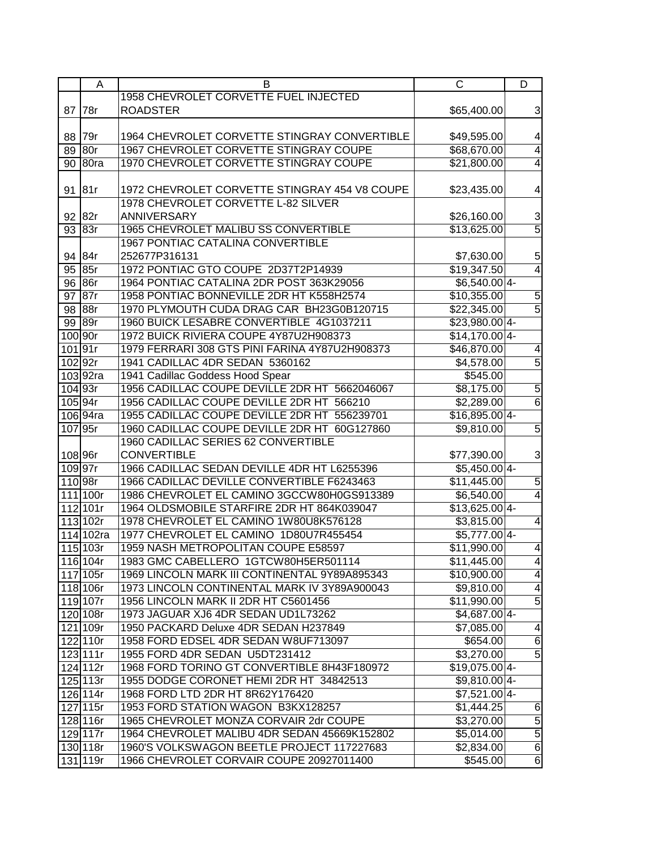|     | A          | В                                              | C                         | D                       |
|-----|------------|------------------------------------------------|---------------------------|-------------------------|
|     |            | 1958 CHEVROLET CORVETTE FUEL INJECTED          |                           |                         |
| 87  | 78r        | <b>ROADSTER</b>                                | \$65,400.00               | 3                       |
|     |            |                                                |                           |                         |
| 88  | 79r        | 1964 CHEVROLET CORVETTE STINGRAY CONVERTIBLE   | \$49,595.00               | 4                       |
| 89  | 80r        | 1967 CHEVROLET CORVETTE STINGRAY COUPE         | \$68,670.00               | $\overline{4}$          |
| 90  | 80ra       | 1970 CHEVROLET CORVETTE STINGRAY COUPE         | $\overline{$21,800.00}$   | $\overline{4}$          |
|     |            |                                                |                           |                         |
| 91  | 81r        | 1972 CHEVROLET CORVETTE STINGRAY 454 V8 COUPE  | \$23,435.00               | 4                       |
|     |            | 1978 CHEVROLET CORVETTE L-82 SILVER            |                           |                         |
| 92  | 82r        | <b>ANNIVERSARY</b>                             | \$26,160.00               |                         |
| 93  | 83r        | 1965 CHEVROLET MALIBU SS CONVERTIBLE           | \$13,625.00               | $\frac{3}{5}$           |
|     |            | <b>1967 PONTIAC CATALINA CONVERTIBLE</b>       |                           |                         |
|     | 94 84r     | 252677P316131                                  | \$7,630.00                | 5                       |
|     | 85r        | 1972 PONTIAC GTO COUPE 2D37T2P14939            |                           | $\overline{4}$          |
| 95  |            |                                                | \$19,347.50               |                         |
|     | 96 86r     | 1964 PONTIAC CATALINA 2DR POST 363K29056       | $$6,540.00 4-$            |                         |
| 97  | 87r        | 1958 PONTIAC BONNEVILLE 2DR HT K558H2574       | \$10,355.00               | $\overline{5}$          |
| 98  | 88r        | 1970 PLYMOUTH CUDA DRAG CAR BH23G0B120715      | \$22,345.00               | $\overline{5}$          |
| 99  | 89r        | 1960 BUICK LESABRE CONVERTIBLE 4G1037211       | \$23,980.00 4-            |                         |
|     | 100 90r    | 1972 BUICK RIVIERA COUPE 4Y87U2H908373         | $$14,170.0014-$           |                         |
|     | 10191r     | 1979 FERRARI 308 GTS PINI FARINA 4Y87U2H908373 | \$46,870.00               | 4                       |
|     | 102 92r    | 1941 CADILLAC 4DR SEDAN 5360162                | $\overline{4,578.00}$     | $\overline{5}$          |
|     | 103 92ra   | 1941 Cadillac Goddess Hood Spear               | \$545.00                  |                         |
|     | $104$ 93r  | 1956 CADILLAC COUPE DEVILLE 2DR HT 5662046067  | \$8,175.00                | 5                       |
|     | 105 94r    | 1956 CADILLAC COUPE DEVILLE 2DR HT 566210      | \$2,289.00                | $\overline{6}$          |
|     | 106 94ra   | 1955 CADILLAC COUPE DEVILLE 2DR HT 556239701   | $$16,895.00$ 4-           |                         |
| 107 | 95r        | 1960 CADILLAC COUPE DEVILLE 2DR HT 60G127860   | \$9,810.00                | $\overline{5}$          |
|     |            | 1960 CADILLAC SERIES 62 CONVERTIBLE            |                           |                         |
|     | 108 96r    | <b>CONVERTIBLE</b>                             | \$77,390.00               | 3                       |
|     | 109 97r    | 1966 CADILLAC SEDAN DEVILLE 4DR HT L6255396    | $$5,450.00$ 4-            |                         |
|     | 110 98r    | 1966 CADILLAC DEVILLE CONVERTIBLE F6243463     | \$11,445.00               | $\overline{5}$          |
|     | 111 100r   | 1986 CHEVROLET EL CAMINO 3GCCW80H0GS913389     | \$6,540.00                | $\overline{4}$          |
|     | 112 101r   | 1964 OLDSMOBILE STARFIRE 2DR HT 864K039047     | $$13,625.00 4-$           |                         |
|     | 113 102r   | 1978 CHEVROLET EL CAMINO 1W80U8K576128         | \$3,815.00                | $\overline{4}$          |
| 114 | 102ra      | 1977 CHEVROLET EL CAMINO 1D80U7R455454         | $$5,777.00$ <sup>4-</sup> |                         |
|     | 115 103r   | 1959 NASH METROPOLITAN COUPE E58597            | \$11,990.00               | $\overline{4}$          |
|     | 116 104r   | 1983 GMC CABELLERO 1GTCW80H5ER501114           | \$11,445.00               | $\overline{4}$          |
|     | 117 105r   | 1969 LINCOLN MARK III CONTINENTAL 9Y89A895343  |                           | $\overline{4}$          |
|     |            |                                                | \$10,900.00               |                         |
|     | 118 106r   | 1973 LINCOLN CONTINENTAL MARK IV 3Y89A900043   | \$9,810.00                | $\overline{\mathbf{4}}$ |
|     | 119 107r   | 1956 LINCOLN MARK II 2DR HT C5601456           | \$11,990.00               | $\overline{5}$          |
|     | 120 108r   | 1973 JAGUAR XJ6 4DR SEDAN UD1L73262            | $$4,687.00 4-$            |                         |
|     | 121 109r   | 1950 PACKARD Deluxe 4DR SEDAN H237849          | \$7,085.00                | 4                       |
|     | $122$ 110r | 1958 FORD EDSEL 4DR SEDAN W8UF713097           | \$654.00                  | $\overline{6}$          |
|     | 123 111r   | 1955 FORD 4DR SEDAN U5DT231412                 | \$3,270.00                | $\overline{5}$          |
|     | $124$ 112r | 1968 FORD TORINO GT CONVERTIBLE 8H43F180972    | $$19,075.00 4-$           |                         |
|     | 125 113r   | 1955 DODGE CORONET HEMI 2DR HT 34842513        | $$9,810.00 4-$            |                         |
|     | 126 114r   | 1968 FORD LTD 2DR HT 8R62Y176420               | $$7,521.00$ 4-            |                         |
|     | $127$ 115r | 1953 FORD STATION WAGON B3KX128257             | \$1,444.25                | 6                       |
|     | 128 116r   | 1965 CHEVROLET MONZA CORVAIR 2dr COUPE         | \$3,270.00                | $\overline{5}$          |
|     | 129 117r   | 1964 CHEVROLET MALIBU 4DR SEDAN 45669K152802   | \$5,014.00                | $\overline{5}$          |
|     | 130 118r   | 1960'S VOLKSWAGON BEETLE PROJECT 117227683     | \$2,834.00                | $\overline{6}$          |
|     | 131 119r   | 1966 CHEVROLET CORVAIR COUPE 20927011400       | \$545.00                  | $\overline{6}$          |